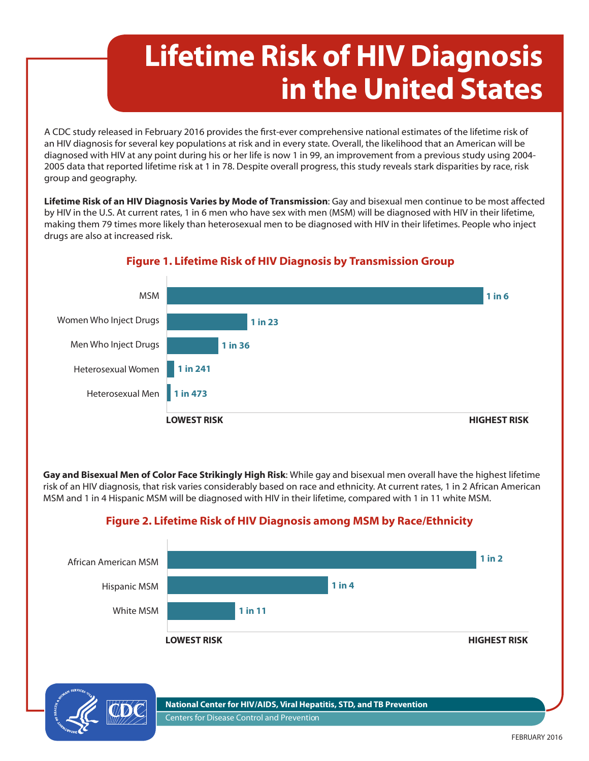# **Lifetime Risk of HIV Diagnosis in the United States**

A CDC study released in February 2016 provides the first-ever comprehensive national estimates of the lifetime risk of an HIV diagnosis for several key populations at risk and in every state. Overall, the likelihood that an American will be diagnosed with HIV at any point during his or her life is now 1 in 99, an improvement from a previous study using 2004- 2005 data that reported lifetime risk at 1 in 78. Despite overall progress, this study reveals stark disparities by race, risk group and geography.

**Lifetime Risk of an HIV Diagnosis Varies by Mode of Transmission**: Gay and bisexual men continue to be most affected by HIV in the U.S. At current rates, 1 in 6 men who have sex with men (MSM) will be diagnosed with HIV in their lifetime, making them 79 times more likely than heterosexual men to be diagnosed with HIV in their lifetimes. People who inject drugs are also at increased risk.



### **Figure 1. Lifetime Risk of HIV Diagnosis by Transmission Group**

**Gay and Bisexual Men of Color Face Strikingly High Risk**: While gay and bisexual men overall have the highest lifetime risk of an HIV diagnosis, that risk varies considerably based on race and ethnicity. At current rates, 1 in 2 African American MSM and 1 in 4 Hispanic MSM will be diagnosed with HIV in their lifetime, compared with 1 in 11 white MSM.

### **Figure 2. Lifetime Risk of HIV Diagnosis among MSM by Race/Ethnicity**